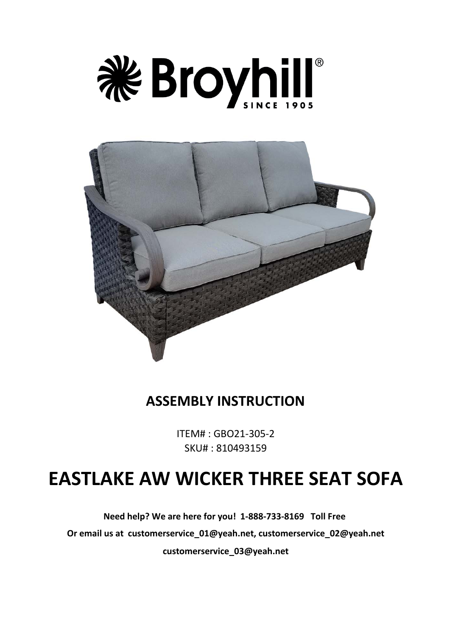



## **ASSEMBLY INSTRUCTION**

ITEM# : GBO21-305-2 SKU# : 810493159

# **EASTLAKE AW WICKER THREE SEAT SOFA**

**Need help? We are here for you! 1-888-733-8169 Toll Free Or email us at customerservice\_01@yeah.net, customerservice\_02@yeah.net**

**customerservice\_03@yeah.net**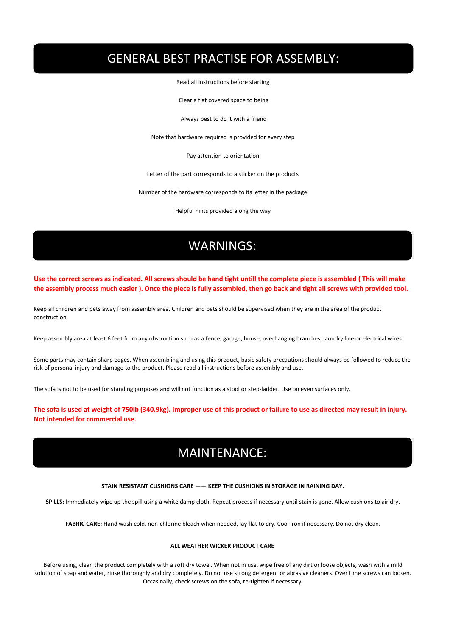# GENERAL BEST PRACTISE FOR ASSEMBLY:

Read all instructions before starting

Clear a flat covered space to being

Always best to do it with a friend

Note that hardware required is provided for every step

Pay attention to orientation

Letter of the part corresponds to a sticker on the products

Number of the hardware corresponds to its letter in the package

Helpful hints provided along the way

### **WARNINGS:** WARNINGS:

**Use the correct screws as indicated. All screws should be hand tight untill the complete piece is assembled ( This will make the assembly process much easier ). Once the piece is fully assembled, then go back and tight all screws with provided tool.**

Keep all children and pets away from assembly area. Children and pets should be supervised when they are in the area of the product construction.

Keep assembly area at least 6 feet from any obstruction such as a fence, garage, house, overhanging branches, laundry line or electrical wires.

Some parts may contain sharp edges. When assembling and using this product, basic safety precautions should always be followed to reduce the risk of personal injury and damage to the product. Please read all instructions before assembly and use.

The sofa is not to be used for standing purposes and will not function as a stool or step-ladder. Use on even surfaces only.

**The sofa is used at weight of 750lb (340.9kg). Improper use of this product or failure to use as directed may result in injury. Not intended for commercial use.**

## **MAINTENANCE** MAINTENANCE:

#### **STAIN RESISTANT CUSHIONS CARE —— KEEP THE CUSHIONS IN STORAGE IN RAINING DAY.**

**SPILLS:** Immediately wipe up the spill using a white damp cloth. Repeat process if necessary until stain is gone. Allow cushions to air dry.

**FABRIC CARE:** Hand wash cold, non-chlorine bleach when needed, lay flat to dry. Cool iron if necessary. Do not dry clean.

#### **ALL WEATHER WICKER PRODUCT CARE**

Before using, clean the product completely with a soft dry towel. When not in use, wipe free of any dirt or loose objects, wash with a mild solution of soap and water, rinse thoroughly and dry completely. Do not use strong detergent or abrasive cleaners. Over time screws can loosen. Occasinally, check screws on the sofa, re-tighten if necessary.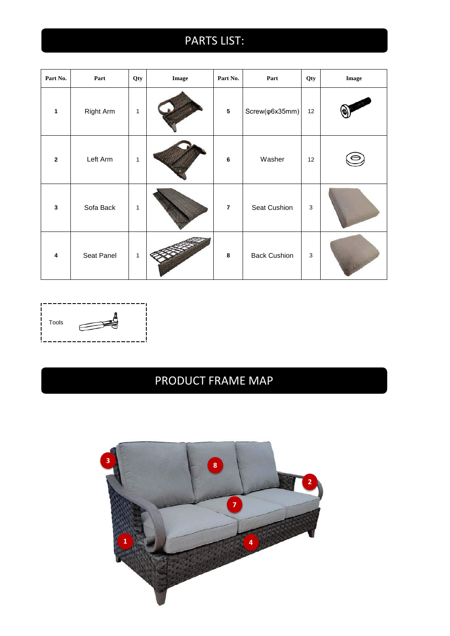# **PARTS LIST:**

| Part No.                | Part       | Qty          | Image | Part No.                | Part                     | Qty         | Image |
|-------------------------|------------|--------------|-------|-------------------------|--------------------------|-------------|-------|
| $\mathbf{1}$            | Right Arm  | 1            |       | $\overline{\mathbf{5}}$ | Screw( $\varphi$ 6x35mm) | 12          |       |
| $\overline{2}$          | Left Arm   | $\mathbf{1}$ |       | $\bf 6$                 | Washer                   | 12          |       |
| $\overline{\mathbf{3}}$ | Sofa Back  | 1            |       | $\overline{7}$          | Seat Cushion             | $\mathsf 3$ |       |
| $\overline{\mathbf{4}}$ | Seat Panel | 1            |       | 8                       | <b>Back Cushion</b>      | $\mathsf 3$ |       |



# PRODUCT FRAME MAP

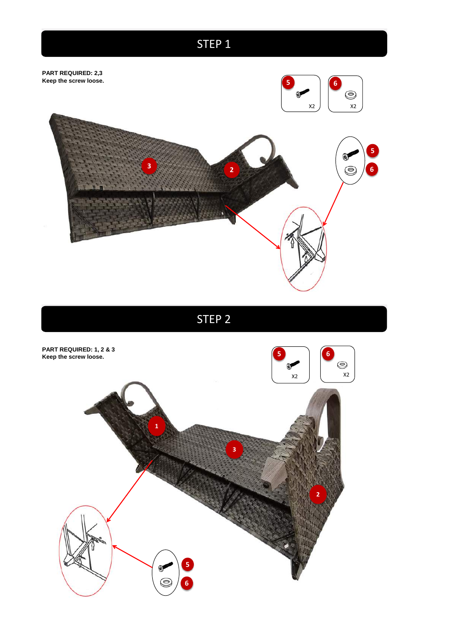# **STEP 1**



STEP 2